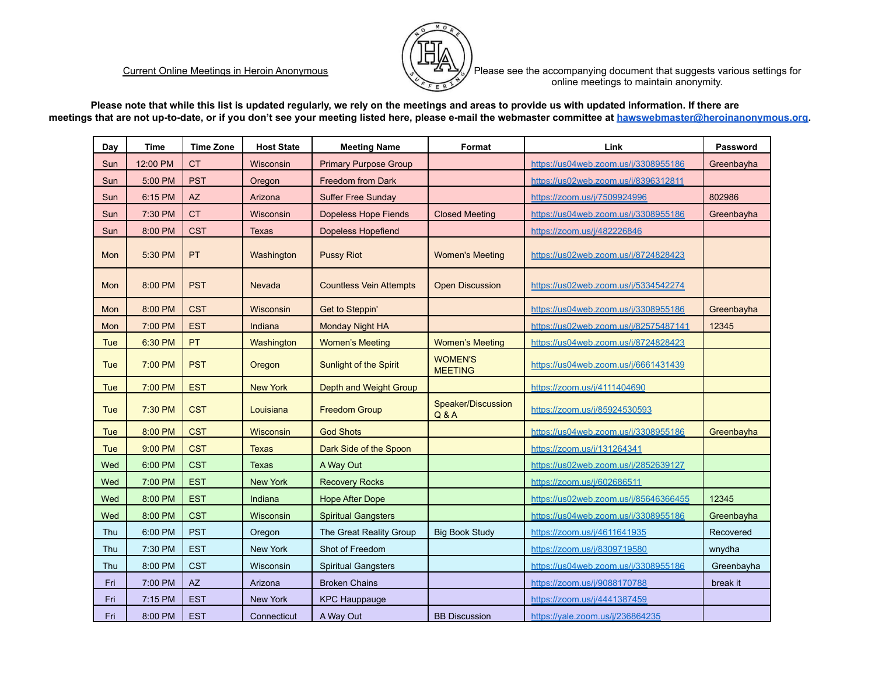

Current Online Meetings in Heroin Anonymous **Please See the accompanying document that suggests various settings for** online meetings to maintain anonymity.

**Please note that while this list is updated regularly, we rely on the meetings and areas to provide us with updated information. If there are meetings that are not up-to-date, or if you don't see your meeting listed here, please e-mail the webmaster committee at [hawswebmaster@heroinanonymous.org.](mailto:hawswebmaster@heroinanonymous.org)**

| Day        | <b>Time</b> | <b>Time Zone</b> | <b>Host State</b> | <b>Meeting Name</b>            | Format                           | Link                                  | Password   |
|------------|-------------|------------------|-------------------|--------------------------------|----------------------------------|---------------------------------------|------------|
| Sun        | 12:00 PM    | <b>CT</b>        | Wisconsin         | <b>Primary Purpose Group</b>   |                                  | https://us04web.zoom.us/j/3308955186  | Greenbayha |
| Sun        | 5:00 PM     | <b>PST</b>       | Oregon            | <b>Freedom from Dark</b>       |                                  | https://us02web.zoom.us/i/8396312811  |            |
| Sun        | 6:15 PM     | <b>AZ</b>        | Arizona           | <b>Suffer Free Sunday</b>      |                                  | https://zoom.us/j/7509924996          | 802986     |
| Sun        | 7:30 PM     | <b>CT</b>        | Wisconsin         | <b>Dopeless Hope Fiends</b>    | <b>Closed Meeting</b>            | https://us04web.zoom.us/j/3308955186  | Greenbayha |
| Sun        | 8:00 PM     | <b>CST</b>       | Texas             | <b>Dopeless Hopefiend</b>      |                                  | https://zoom.us/i/482226846           |            |
| Mon        | 5:30 PM     | PT               | Washington        | <b>Pussy Riot</b>              | <b>Women's Meeting</b>           | https://us02web.zoom.us/j/8724828423  |            |
| Mon        | 8:00 PM     | <b>PST</b>       | Nevada            | <b>Countless Vein Attempts</b> | <b>Open Discussion</b>           | https://us02web.zoom.us/j/5334542274  |            |
| Mon        | 8:00 PM     | <b>CST</b>       | <b>Wisconsin</b>  | Get to Steppin'                |                                  | https://us04web.zoom.us/j/3308955186  | Greenbayha |
| Mon        | 7:00 PM     | <b>EST</b>       | Indiana           | Monday Night HA                |                                  | https://us02web.zoom.us/j/82575487141 | 12345      |
| <b>Tue</b> | 6:30 PM     | PT               | Washington        | <b>Women's Meeting</b>         | <b>Women's Meeting</b>           | https://us04web.zoom.us/j/8724828423  |            |
| Tue        | 7:00 PM     | <b>PST</b>       | Oregon            | Sunlight of the Spirit         | <b>WOMEN'S</b><br><b>MEETING</b> | https://us04web.zoom.us/j/6661431439  |            |
| Tue        | 7:00 PM     | <b>EST</b>       | <b>New York</b>   | Depth and Weight Group         |                                  | https://zoom.us/j/4111404690          |            |
| Tue        | 7:30 PM     | <b>CST</b>       | Louisiana         | <b>Freedom Group</b>           | Speaker/Discussion<br>Q & A      | https://zoom.us/j/85924530593         |            |
| <b>Tue</b> | 8:00 PM     | <b>CST</b>       | <b>Wisconsin</b>  | <b>God Shots</b>               |                                  | https://us04web.zoom.us/j/3308955186  | Greenbayha |
| Tue        | 9:00 PM     | <b>CST</b>       | <b>Texas</b>      | Dark Side of the Spoon         |                                  | https://zoom.us/j/131264341           |            |
| Wed        | 6:00 PM     | <b>CST</b>       | Texas             | A Way Out                      |                                  | https://us02web.zoom.us/j/2852639127  |            |
| Wed        | 7:00 PM     | <b>EST</b>       | <b>New York</b>   | <b>Recovery Rocks</b>          |                                  | https://zoom.us/i/602686511           |            |
| Wed        | 8:00 PM     | <b>EST</b>       | Indiana           | <b>Hope After Dope</b>         |                                  | https://us02web.zoom.us/j/85646366455 | 12345      |
| Wed        | 8:00 PM     | <b>CST</b>       | Wisconsin         | <b>Spiritual Gangsters</b>     |                                  | https://us04web.zoom.us/j/3308955186  | Greenbayha |
| Thu        | 6:00 PM     | <b>PST</b>       | Oregon            | The Great Reality Group        | <b>Big Book Study</b>            | https://zoom.us/j/4611641935          | Recovered  |
| Thu        | 7:30 PM     | <b>EST</b>       | <b>New York</b>   | Shot of Freedom                |                                  | https://zoom.us/i/8309719580          | wnydha     |
| Thu        | 8:00 PM     | <b>CST</b>       | Wisconsin         | <b>Spiritual Gangsters</b>     |                                  | https://us04web.zoom.us/j/3308955186  | Greenbayha |
| Fri        | 7:00 PM     | <b>AZ</b>        | Arizona           | <b>Broken Chains</b>           |                                  | https://zoom.us/i/9088170788          | break it   |
| Fri        | 7:15 PM     | <b>EST</b>       | <b>New York</b>   | <b>KPC Hauppauge</b>           |                                  | https://zoom.us/j/4441387459          |            |
| Fri        | 8:00 PM     | <b>EST</b>       | Connecticut       | A Way Out                      | <b>BB Discussion</b>             | https://yale.zoom.us/j/236864235      |            |